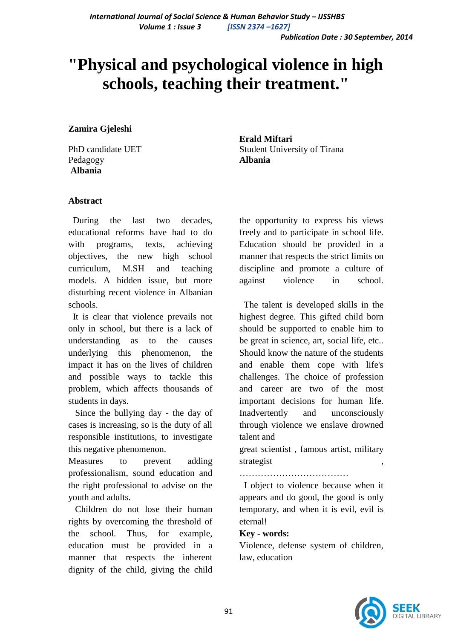# **"Physical and psychological violence in high schools, teaching their treatment."**

**Zamira Gjeleshi**

PhD candidate UET Pedagogy **Albania**

**Erald Miftari** Student University of Tirana **Albania**

## **Abstract**

 During the last two decades, educational reforms have had to do with programs, texts, achieving objectives, the new high school curriculum, M.SH and teaching models. A hidden issue, but more disturbing recent violence in Albanian schools.

 It is clear that violence prevails not only in school, but there is a lack of understanding as to the causes underlying this phenomenon, the impact it has on the lives of children and possible ways to tackle this problem, which affects thousands of students in days.

 Since the bullying day - the day of cases is increasing, so is the duty of all responsible institutions, to investigate this negative phenomenon.

Measures to prevent adding professionalism, sound education and the right professional to advise on the youth and adults.

 Children do not lose their human rights by overcoming the threshold of the school. Thus, for example, education must be provided in a manner that respects the inherent dignity of the child, giving the child the opportunity to express his views freely and to participate in school life. Education should be provided in a manner that respects the strict limits on discipline and promote a culture of against violence in school.

 The talent is developed skills in the highest degree. This gifted child born should be supported to enable him to be great in science, art, social life, etc.. Should know the nature of the students and enable them cope with life's challenges. The choice of profession and career are two of the most important decisions for human life. Inadvertently and unconsciously through violence we enslave drowned talent and

great scientist , famous artist, military strategist

………………………………

 I object to violence because when it appears and do good, the good is only temporary, and when it is evil, evil is eternal!

#### **Key - words:**

Violence, defense system of children, law, education

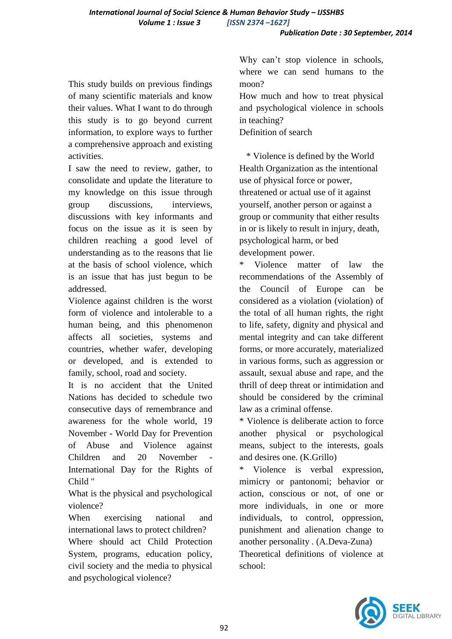This study builds on previous findings of many scientific materials and know their values. What I want to do through this study is to go beyond current information, to explore ways to further a comprehensive approach and existing activities.

I saw the need to review, gather, to consolidate and update the literature to my knowledge on this issue through group discussions, interviews, discussions with key informants and focus on the issue as it is seen by children reaching a good level of understanding as to the reasons that lie at the basis of school violence, which is an issue that has just begun to be addressed.

Violence against children is the worst form of violence and intolerable to a human being, and this phenomenon affects all societies, systems and countries, whether wafer, developing or developed, and is extended to family, school, road and society.

It is no accident that the United Nations has decided to schedule two consecutive days of remembrance and awareness for the whole world, 19 November - World Day for Prevention of Abuse and Violence against Children and 20 November International Day for the Rights of Child "

What is the physical and psychological violence?

When exercising national and international laws to protect children? Where should act Child Protection System, programs, education policy, civil society and the media to physical and psychological violence?

Why can't stop violence in schools, where we can send humans to the moon?

How much and how to treat physical and psychological violence in schools in teaching?

Definition of search

 \* Violence is defined by the World Health Organization as the intentional use of physical force or power, threatened or actual use of it against yourself, another person or against a group or community that either results in or is likely to result in injury, death, psychological harm, or bed development power.

Violence matter of law the recommendations of the Assembly of the Council of Europe can be considered as a violation (violation) of the total of all human rights, the right to life, safety, dignity and physical and mental integrity and can take different forms, or more accurately, materialized in various forms, such as aggression or assault, sexual abuse and rape, and the thrill of deep threat or intimidation and should be considered by the criminal law as a criminal offense.

\* Violence is deliberate action to force another physical or psychological means, subject to the interests, goals and desires one. (K.Grillo)

Violence is verbal expression. mimicry or pantonomi; behavior or action, conscious or not, of one or more individuals, in one or more individuals, to control, oppression, punishment and alienation change to another personality . (A.Deva-Zuna) Theoretical definitions of violence at school:

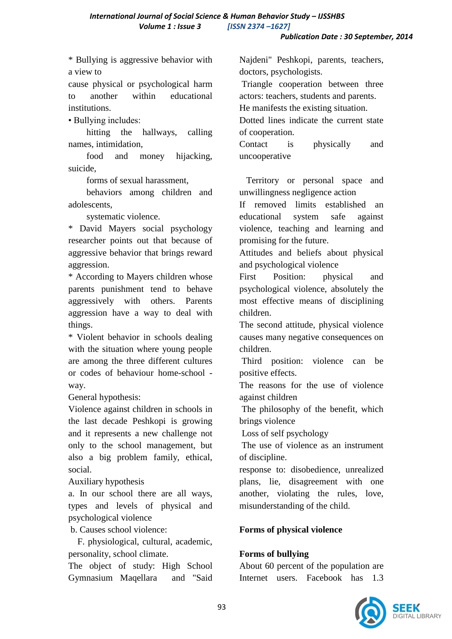\* Bullying is aggressive behavior with a view to

cause physical or psychological harm to another within educational institutions.

• Bullying includes:

 hitting the hallways, calling names, intimidation,

 food and money hijacking, suicide,

forms of sexual harassment,

 behaviors among children and adolescents,

systematic violence.

\* David Mayers social psychology researcher points out that because of aggressive behavior that brings reward aggression.

\* According to Mayers children whose parents punishment tend to behave aggressively with others. Parents aggression have a way to deal with things.

\* Violent behavior in schools dealing with the situation where young people are among the three different cultures or codes of behaviour home-school way.

General hypothesis:

Violence against children in schools in the last decade Peshkopi is growing and it represents a new challenge not only to the school management, but also a big problem family, ethical, social.

Auxiliary hypothesis

a. In our school there are all ways, types and levels of physical and psychological violence

b. Causes school violence:

 F. physiological, cultural, academic, personality, school climate.

The object of study: High School Gymnasium Maqellara and "Said

Najdeni" Peshkopi, parents, teachers, doctors, psychologists.

Triangle cooperation between three actors: teachers, students and parents. He manifests the existing situation.

Dotted lines indicate the current state of cooperation.

Contact is physically and uncooperative

 Territory or personal space and unwillingness negligence action

If removed limits established an educational system safe against violence, teaching and learning and promising for the future.

Attitudes and beliefs about physical and psychological violence

First Position: physical and psychological violence, absolutely the most effective means of disciplining children.

The second attitude, physical violence causes many negative consequences on children.

Third position: violence can be positive effects.

The reasons for the use of violence against children

The philosophy of the benefit, which brings violence

Loss of self psychology

The use of violence as an instrument of discipline.

response to: disobedience, unrealized plans, lie, disagreement with one another, violating the rules, love, misunderstanding of the child.

# **Forms of physical violence**

# **Forms of bullying**

About 60 percent of the population are Internet users. Facebook has 1.3

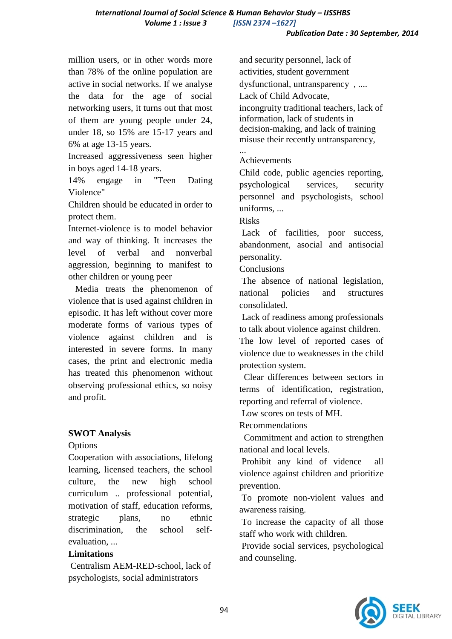*International Journal of Social Science & Human Behavior Study – IJSSHBS Volume 1 : Issue 3 [ISSN 2374 –1627]*

million users, or in other words more than 78% of the online population are active in social networks. If we analyse the data for the age of social networking users, it turns out that most of them are young people under 24, under 18, so 15% are 15-17 years and 6% at age 13-15 years.

Increased aggressiveness seen higher in boys aged 14-18 years.

14% engage in "Teen Dating Violence"

Children should be educated in order to protect them.

Internet-violence is to model behavior and way of thinking. It increases the level of verbal and nonverbal aggression, beginning to manifest to other children or young peer

 Media treats the phenomenon of violence that is used against children in episodic. It has left without cover more moderate forms of various types of violence against children and is interested in severe forms. In many cases, the print and electronic media has treated this phenomenon without observing professional ethics, so noisy and profit.

## **SWOT Analysis**

**Options** 

Cooperation with associations, lifelong learning, licensed teachers, the school culture, the new high school curriculum .. professional potential, motivation of staff, education reforms, strategic plans, no ethnic discrimination, the school selfevaluation

## **Limitations**

Centralism AEM-RED-school, lack of psychologists, social administrators

and security personnel, lack of activities, student government dysfunctional, untransparency , .... Lack of Child Advocate, incongruity traditional teachers, lack of information, lack of students in decision-making, and lack of training misuse their recently untransparency, ...

## Achievements

Child code, public agencies reporting, psychological services, security personnel and psychologists, school uniforms, ...

Risks

Lack of facilities, poor success, abandonment, asocial and antisocial personality.

**Conclusions** 

The absence of national legislation, national policies and structures consolidated.

Lack of readiness among professionals to talk about violence against children.

The low level of reported cases of violence due to weaknesses in the child protection system.

 Clear differences between sectors in terms of identification, registration, reporting and referral of violence.

Low scores on tests of MH.

Recommendations

 Commitment and action to strengthen national and local levels.

Prohibit any kind of vidence all violence against children and prioritize prevention.

To promote non-violent values and awareness raising.

To increase the capacity of all those staff who work with children.

Provide social services, psychological and counseling.